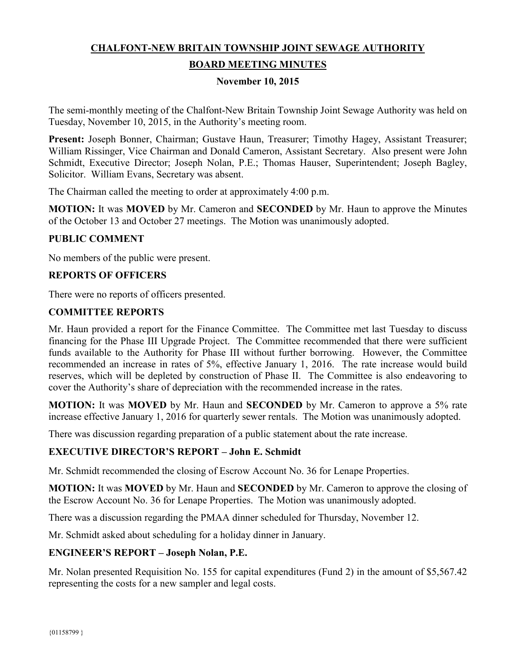# **CHALFONT-NEW BRITAIN TOWNSHIP JOINT SEWAGE AUTHORITY**

## **BOARD MEETING MINUTES**

#### **November 10, 2015**

The semi-monthly meeting of the Chalfont-New Britain Township Joint Sewage Authority was held on Tuesday, November 10, 2015, in the Authority's meeting room.

**Present:** Joseph Bonner, Chairman; Gustave Haun, Treasurer; Timothy Hagey, Assistant Treasurer; William Rissinger, Vice Chairman and Donald Cameron, Assistant Secretary. Also present were John Schmidt, Executive Director; Joseph Nolan, P.E.; Thomas Hauser, Superintendent; Joseph Bagley, Solicitor. William Evans, Secretary was absent.

The Chairman called the meeting to order at approximately 4:00 p.m.

**MOTION:** It was **MOVED** by Mr. Cameron and **SECONDED** by Mr. Haun to approve the Minutes of the October 13 and October 27 meetings. The Motion was unanimously adopted.

#### **PUBLIC COMMENT**

No members of the public were present.

#### **REPORTS OF OFFICERS**

There were no reports of officers presented.

#### **COMMITTEE REPORTS**

Mr. Haun provided a report for the Finance Committee. The Committee met last Tuesday to discuss financing for the Phase III Upgrade Project. The Committee recommended that there were sufficient funds available to the Authority for Phase III without further borrowing. However, the Committee recommended an increase in rates of 5%, effective January 1, 2016. The rate increase would build reserves, which will be depleted by construction of Phase II. The Committee is also endeavoring to cover the Authority's share of depreciation with the recommended increase in the rates.

**MOTION:** It was **MOVED** by Mr. Haun and **SECONDED** by Mr. Cameron to approve a 5% rate increase effective January 1, 2016 for quarterly sewer rentals. The Motion was unanimously adopted.

There was discussion regarding preparation of a public statement about the rate increase.

#### **EXECUTIVE DIRECTOR'S REPORT – John E. Schmidt**

Mr. Schmidt recommended the closing of Escrow Account No. 36 for Lenape Properties.

**MOTION:** It was **MOVED** by Mr. Haun and **SECONDED** by Mr. Cameron to approve the closing of the Escrow Account No. 36 for Lenape Properties. The Motion was unanimously adopted.

There was a discussion regarding the PMAA dinner scheduled for Thursday, November 12.

Mr. Schmidt asked about scheduling for a holiday dinner in January.

#### **ENGINEER'S REPORT – Joseph Nolan, P.E.**

Mr. Nolan presented Requisition No. 155 for capital expenditures (Fund 2) in the amount of \$5,567.42 representing the costs for a new sampler and legal costs.